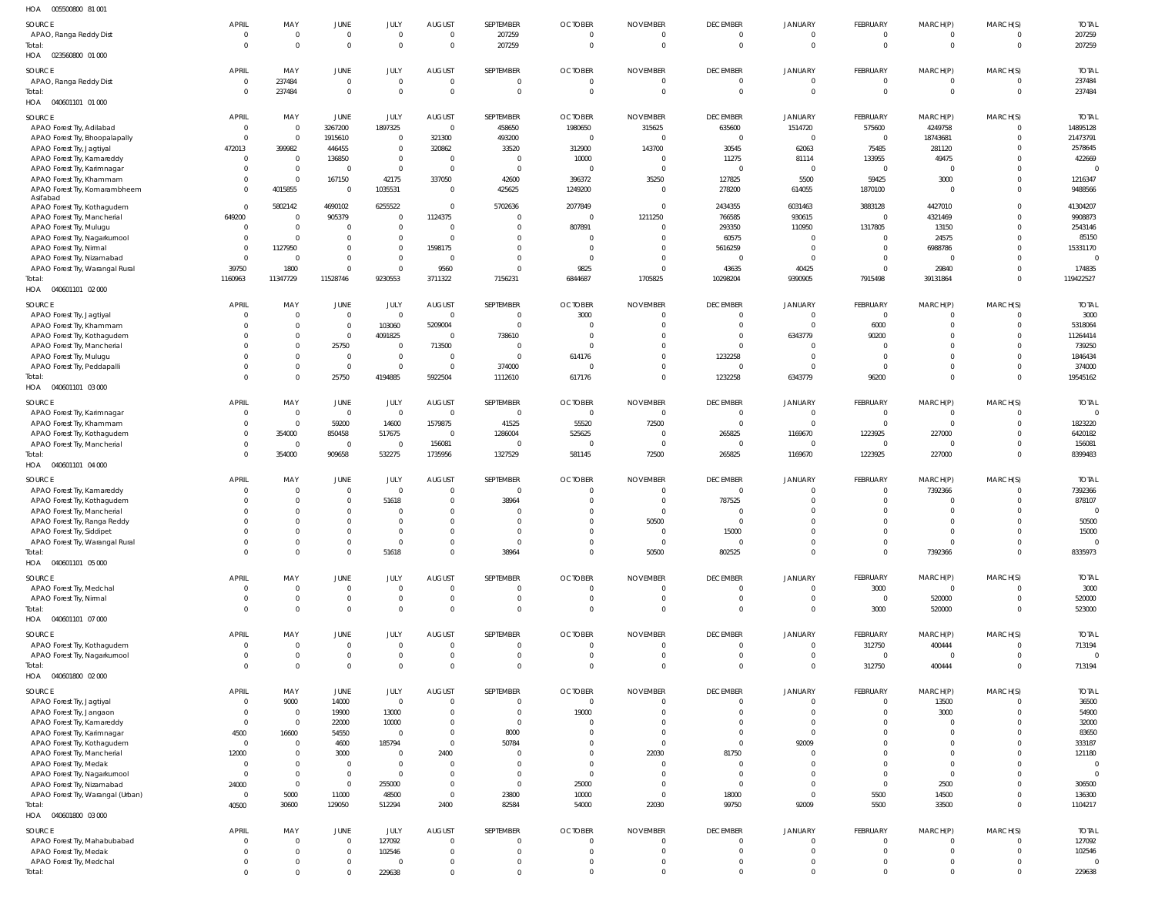| HOA<br>005500800 81 001                                         |                          |                                 |                             |                                  |                                  |                         |                                  |                                 |                                  |                                  |                        |                                  |                                  |                        |
|-----------------------------------------------------------------|--------------------------|---------------------------------|-----------------------------|----------------------------------|----------------------------------|-------------------------|----------------------------------|---------------------------------|----------------------------------|----------------------------------|------------------------|----------------------------------|----------------------------------|------------------------|
| SOURCE                                                          | <b>APRIL</b>             | MAY                             | JUNE                        | JULY                             | AUGUST                           | SEPTEMBER               | <b>OCTOBER</b>                   | <b>NOVEMBER</b>                 | <b>DECEMBER</b>                  | <b>JANUARY</b>                   | FEBRUARY               | MARCH(P)                         | MARCH(S)                         | <b>TOTAL</b>           |
| APAO, Ranga Reddy Dist                                          | - 0                      | $\mathbf 0$                     | $\mathbf 0$                 | $\overline{0}$                   | $\overline{0}$                   | 207259                  | $\mathbf{0}$                     | $\mathbf 0$                     | $\overline{0}$                   | $\overline{0}$                   | $\Omega$               | $\overline{0}$                   | $\overline{0}$                   | 207259                 |
| Total:                                                          | $\Omega$                 | $\mathbf 0$                     | $\mathbf 0$                 | $\Omega$                         | $\overline{0}$                   | 207259                  | $\mathbf 0$                      | $\mathbf{0}$                    | $\overline{0}$                   | $\mathbf 0$                      | $\overline{0}$         | $\mathbf 0$                      | $\overline{0}$                   | 207259                 |
| HOA  023560800  01  000                                         |                          |                                 |                             |                                  |                                  |                         |                                  |                                 |                                  |                                  |                        |                                  |                                  |                        |
| SOURCE                                                          | <b>APRIL</b>             | MAY                             | JUNE                        | JULY                             | <b>AUGUST</b>                    | SEPTEMBER               | <b>OCTOBER</b>                   | <b>NOVEMBER</b>                 | <b>DECEMBER</b>                  | <b>JANUARY</b>                   | FEBRUARY               | MARCH(P)                         | MARCH(S)                         | <b>TOTAL</b>           |
| APAO, Ranga Reddy Dist                                          | $\mathbf{0}$             | 237484                          | $\mathbf 0$                 | $\overline{0}$                   | $\overline{0}$                   | $\overline{0}$          | $\overline{0}$                   | $\mathbf 0$                     | $\overline{0}$                   | $\overline{0}$                   | $\Omega$               | $\overline{0}$                   | $\overline{0}$                   | 237484                 |
| Total:                                                          | $\Omega$                 | 237484                          | $\mathbf 0$                 | $\Omega$                         | $\overline{0}$                   | $\Omega$                | $\Omega$                         | $\mathbf{0}$                    | $\overline{0}$                   | $\mathbf 0$                      | $\Omega$               | $\mathbf 0$                      | $\overline{0}$                   | 237484                 |
| HOA<br>040601101 01 000                                         |                          |                                 |                             |                                  |                                  |                         |                                  |                                 |                                  |                                  |                        |                                  |                                  |                        |
| <b>SOURCE</b>                                                   | <b>APRIL</b>             | MAY                             | JUNE                        | JULY                             | AUGUST                           | SEPTEMBER               | <b>OCTOBER</b>                   | <b>NOVEMBER</b>                 | <b>DECEMBER</b>                  | <b>JANUARY</b>                   | FEBRUARY               | MARCH(P)                         | MARCH(S)                         | <b>TOTAL</b>           |
| APAO Forest Try, Adilabad                                       | $\overline{0}$           | $\mathbf 0$                     | 3267200                     | 1897325                          | $\overline{0}$                   | 458650                  | 1980650                          | 315625                          | 635600                           | 1514720                          | 575600                 | 4249758                          | $\overline{0}$                   | 14895128               |
| APAO Forest Try, Bhoopalapally                                  | $\Omega$                 | $\mathbf 0$                     | 1915610                     | $\overline{0}$                   | 321300                           | 493200                  | $\overline{0}$                   | $\mathbf 0$                     | $\overline{0}$                   | $\overline{0}$                   | $\Omega$               | 18743681                         | $\overline{0}$                   | 21473791               |
| APAO Forest Try, Jagtiyal                                       | 472013                   | 399982                          | 446455<br>136850            | $\overline{0}$<br>$\overline{0}$ | 320862<br>$\overline{0}$         | 33520<br>$\Omega$       | 312900<br>10000                  | 143700<br>$\mathbf 0$           | 30545<br>11275                   | 62063<br>81114                   | 75485<br>133955        | 281120<br>49475                  | $\Omega$<br>$\overline{0}$       | 2578645                |
| APAO Forest Try, Kamareddy<br>APAO Forest Try, Karimnagar       | - 0<br>$\Omega$          | $\mathbf 0$<br>$\mathbf 0$      | $\mathbf 0$                 | $\overline{0}$                   | $\overline{0}$                   | $\Omega$                | $\overline{0}$                   | $\overline{0}$                  | $\overline{0}$                   | $\overline{0}$                   | $\overline{0}$         | $\overline{0}$                   | $\Omega$                         | 422669<br>$\Omega$     |
| APAO Forest Try, Khammam                                        | $\Omega$                 | $\mathbf 0$                     | 167150                      | 42175                            | 337050                           | 42600                   | 396372                           | 35250                           | 127825                           | 5500                             | 59425                  | 3000                             | $\mathbf{0}$                     | 1216347                |
| APAO Forest Try, Komarambheem                                   | $\Omega$                 | 4015855                         | $\mathbf 0$                 | 1035531                          | $\overline{0}$                   | 425625                  | 1249200                          | $\mathbf 0$                     | 278200                           | 614055                           | 1870100                | $\overline{0}$                   | $\overline{0}$                   | 9488566                |
| Asifabad                                                        |                          |                                 |                             |                                  |                                  |                         |                                  |                                 |                                  |                                  |                        |                                  |                                  |                        |
| APAO Forest Try, Kothagudem                                     | $\overline{0}$           | 5802142                         | 4690102                     | 6255522                          | $\overline{0}$                   | 5702636                 | 2077849                          | $\mathbf 0$                     | 2434355                          | 6031463                          | 3883128                | 4427010                          | $\overline{0}$<br>$\Omega$       | 41304207               |
| APAO Forest Try, Mancherial<br>APAO Forest Try, Mulugu          | 649200<br>$\Omega$       | $\mathbf 0$<br>$\boldsymbol{0}$ | 905379<br>$\mathbf 0$       | $\overline{0}$<br>$\overline{0}$ | 1124375<br>$\overline{0}$        | $\Omega$                | $\mathbf{0}$<br>807891           | 1211250<br>$\mathbf 0$          | 766585<br>293350                 | 930615<br>110950                 | $\Omega$<br>1317805    | 4321469<br>13150                 | $\overline{0}$                   | 9908873<br>2543146     |
| APAO Forest Try, Nagarkurnool                                   | - 0                      | $\mathbf 0$                     | $\mathbf 0$                 | $\overline{0}$                   | $\overline{0}$                   |                         | $\Omega$                         | $\overline{0}$                  | 60575                            | $\overline{0}$                   | - 0                    | 24575                            | $\Omega$                         | 85150                  |
| APAO Forest Try, Nirmal                                         | $\Omega$                 | 1127950                         | $\mathbf 0$                 | $\overline{0}$                   | 1598175                          | $\Omega$                | $\Omega$                         | $\overline{0}$                  | 5616259                          | $\overline{0}$                   | $\Omega$               | 6988786                          | $\overline{0}$                   | 15331170               |
| APAO Forest Try, Nizamabad                                      | - 0                      | $\mathbf 0$                     | $\mathbf 0$                 | $\Omega$                         | $\overline{0}$                   |                         | $\Omega$                         | $\overline{0}$                  | $\overline{0}$                   | $\overline{0}$                   | $\Omega$               | $\overline{0}$                   | $\Omega$                         | $\Omega$               |
| APAO Forest Try, Warangal Rural                                 | 39750                    | 1800                            | $\overline{0}$              | $\Omega$                         | 9560                             |                         | 9825                             | $\mathbf 0$                     | 43635                            | 40425                            | $\Omega$               | 29840                            | $\overline{0}$                   | 174835                 |
| Total:                                                          | 1160963                  | 11347729                        | 11528746                    | 9230553                          | 3711322                          | 7156231                 | 6844687                          | 1705825                         | 10298204                         | 9390905                          | 7915498                | 39131864                         | $\overline{0}$                   | 119422527              |
| HOA  040601101  02  000                                         |                          |                                 |                             |                                  |                                  |                         |                                  |                                 |                                  |                                  |                        |                                  |                                  |                        |
| SOURCE                                                          | <b>APRIL</b>             | MAY                             | JUNE                        | <b>JULY</b>                      | AUGUST                           | SEPTEMBER               | <b>OCTOBER</b>                   | <b>NOVEMBER</b>                 | <b>DECEMBER</b>                  | JANUARY                          | FEBRUARY               | MARCH(P)                         | MARCH(S)                         | <b>TOTAI</b>           |
| APAO Forest Try, Jagtiyal                                       | $\Omega$                 | $\mathbf 0$                     | $\mathbf 0$                 | $\overline{0}$                   | $\overline{0}$                   | $\Omega$                | 3000                             | $\overline{0}$                  | $\overline{0}$                   | $\overline{0}$                   | $\Omega$               | $\overline{0}$                   | $\overline{0}$                   | 3000                   |
| APAO Forest Try, Khammam                                        | - 0                      | $\mathbf 0$                     | $\mathbf 0$                 | 103060                           | 5209004                          |                         | $\Omega$                         | $\mathbf 0$                     | $\Omega$                         | $\overline{0}$                   | 6000                   | $\overline{0}$                   | $\overline{0}$                   | 5318064                |
| APAO Forest Try, Kothagudem                                     |                          | $\mathbf 0$                     | $\mathbf{0}$                | 4091825                          | $\overline{0}$                   | 738610                  | $\Omega$                         | $\Omega$                        | $\Omega$                         | 6343779                          | 90200                  | $\Omega$                         | $\overline{0}$                   | 11264414               |
| APAO Forest Try, Mancherial                                     |                          | $\mathbf 0$                     | 25750                       | $\Omega$                         | 713500                           | $\Omega$                | $\Omega$                         | $\Omega$                        | $\Omega$                         | $\Omega$                         |                        | $\Omega$                         | $\Omega$                         | 739250                 |
| APAO Forest Try, Mulugu                                         | $\Omega$                 | $\mathbf 0$<br>0                | $\mathbf 0$<br>$\mathbf{0}$ | $\overline{0}$<br>$\overline{0}$ | $\overline{0}$<br>$\overline{0}$ | $\Omega$                | 614176<br><sup>0</sup>           | $\mathbf 0$<br>$\mathbf 0$      | 1232258<br>$\Omega$              | $\overline{0}$<br>$\Omega$       | - 0<br>- 0             | $\Omega$<br>$\overline{0}$       | $\overline{0}$<br>$\overline{0}$ | 1846434                |
| APAO Forest Try, Peddapalli<br>Total:                           | $\Omega$                 | $\Omega$                        | 25750                       | 4194885                          | 5922504                          | 374000<br>1112610       | 617176                           | $\mathbf{0}$                    | 1232258                          | 6343779                          | 96200                  | $\mathbf 0$                      | $\overline{0}$                   | 374000<br>19545162     |
| HOA  040601101  03  000                                         |                          |                                 |                             |                                  |                                  |                         |                                  |                                 |                                  |                                  |                        |                                  |                                  |                        |
|                                                                 |                          |                                 |                             |                                  |                                  |                         |                                  |                                 |                                  |                                  |                        |                                  |                                  |                        |
| SOURCE                                                          | <b>APRIL</b>             | MAY                             | JUNE                        | JULY                             | AUGUST                           | SEPTEMBER               | <b>OCTOBER</b>                   | NOVEMBER                        | <b>DECEMBER</b>                  | JANUARY                          | FEBRUARY<br>$\Omega$   | MARCH(P)                         | MARCH(S)                         | <b>TOTAL</b>           |
| APAO Forest Try, Karimnagar<br>APAO Forest Try, Khammam         | $\mathbf{0}$<br>$\Omega$ | $\mathbf 0$<br>$\mathbf 0$      | $\mathbf 0$<br>59200        | $\overline{0}$<br>14600          | $\overline{0}$<br>1579875        | $\overline{0}$<br>41525 | $\overline{0}$<br>55520          | $\overline{0}$<br>72500         | $\overline{0}$<br>$^{\circ}$     | $\overline{0}$<br>$\overline{0}$ | - 0                    | $\overline{0}$<br>$\overline{0}$ | $\overline{0}$<br>$\overline{0}$ | 1823220                |
| APAO Forest Try, Kothagudem                                     | $\Omega$                 | 354000                          | 850458                      | 517675                           | $\overline{0}$                   | 1286004                 | 525625                           | $\mathbf 0$                     | 265825                           | 1169670                          | 1223925                | 227000                           | $\overline{0}$                   | 6420182                |
| APAO Forest Try, Mancherial                                     | $\Omega$                 | $\mathbf 0$                     | $\mathbf 0$                 | $\overline{0}$                   | 156081                           | $\Omega$                | $\Omega$                         | $\overline{0}$                  | $\overline{0}$                   | $\overline{0}$                   | $\sqrt{ }$             | $\overline{0}$                   | $\overline{0}$                   | 156081                 |
| Total:                                                          | $\Omega$                 | 354000                          | 909658                      | 532275                           | 1735956                          | 1327529                 | 581145                           | 72500                           | 265825                           | 1169670                          | 1223925                | 227000                           | $\overline{0}$                   | 8399483                |
| HOA  040601101  04  000                                         |                          |                                 |                             |                                  |                                  |                         |                                  |                                 |                                  |                                  |                        |                                  |                                  |                        |
| SOURCE                                                          | <b>APRIL</b>             | MAY                             | JUNE                        | JULY                             | <b>AUGUST</b>                    | SEPTEMBER               | <b>OCTOBER</b>                   | <b>NOVEMBER</b>                 | <b>DECEMBER</b>                  | JANUARY                          | FEBRUARY               | MARCH(P)                         | MARCH(S)                         | <b>TOTAL</b>           |
| APAO Forest Try, Kamareddy                                      | $\Omega$                 | $\mathbf 0$                     | $\mathbf 0$                 | $\Omega$                         | $\mathbf 0$                      | $\Omega$                | $\Omega$                         | $\overline{0}$                  | $\Omega$                         | $\Omega$                         | $\Omega$               | 7392366                          | $\overline{0}$                   | 7392366                |
| APAO Forest Try, Kothagudem                                     |                          | 0                               | $\mathbf 0$                 | 51618                            | $\mathbf 0$                      | 38964                   | 0                                | $\mathbf{0}$                    | 787525                           | -0                               |                        | $\overline{0}$                   | $\overline{0}$                   | 878107                 |
| APAO Forest Try, Mancherial                                     |                          | $\Omega$                        | $\overline{0}$              | $\Omega$                         | $\Omega$                         |                         | $\Omega$                         | $\Omega$                        | $\Omega$                         | $\Omega$                         |                        | $\Omega$                         | $\mathbf{0}$                     | $\Omega$               |
| APAO Forest Try, Ranga Reddy                                    |                          |                                 |                             |                                  |                                  |                         |                                  | 50500                           | <b>U</b>                         |                                  |                        |                                  |                                  | 50500                  |
| APAO Forest Try, Siddipet                                       |                          | $\Omega$                        | $\Omega$                    | $\Omega$                         | U                                |                         | $\Omega$                         | $\overline{0}$                  | 15000                            | $\Omega$                         |                        | $\Omega$                         | $\Omega$                         | 15000                  |
| APAO Forest Try, Warangal Rural                                 | $\Omega$                 | $\Omega$                        | $\mathbf 0$                 | $\Omega$                         | $\mathbf 0$                      | $\Omega$                | $\mathbf 0$                      | $\overline{0}$                  | $\overline{0}$                   | $^{\circ}$                       | $\Omega$               | $\overline{0}$                   | $\overline{0}$                   | $\mathbf 0$            |
| Total:<br>HOA  040601101  05  000                               |                          | $\Omega$                        | $\overline{0}$              | 51618                            | $\mathbf 0$                      | 38964                   | $\Omega$                         | 50500                           | 802525                           | $\Omega$                         | $\Omega$               | 7392366                          | $\overline{0}$                   | 8335973                |
|                                                                 |                          |                                 |                             |                                  |                                  |                         |                                  |                                 |                                  |                                  |                        |                                  |                                  |                        |
| SOURCE                                                          | <b>APRIL</b>             | MAY                             | JUNE                        | JULY                             | AUGUST                           | SEPTEMBER               | <b>OCTOBER</b>                   | NOVEMBER                        | <b>DECEMBER</b>                  | JANUARY                          | FEBRUARY               | MARCH(P)                         | MARCH(S)                         | <b>TOTAL</b>           |
| APAO Forest Try, Medchal                                        | $\Omega$                 | $\mathbf 0$                     | $\mathbf 0$                 | $\Omega$                         | $\overline{0}$                   | $\Omega$                | $\overline{0}$                   | $\mathbf 0$                     | $\overline{0}$                   | $\overline{0}$                   | 3000                   | $\overline{0}$                   | $\overline{0}$                   | 3000                   |
| APAO Forest Try, Nirmal<br>Total:                               | - 0<br>- 0               | $\mathbf 0$<br>$\Omega$         | $\mathbf 0$<br>$\mathbf 0$  | $\overline{0}$<br>$\Omega$       | $\mathbf 0$<br>$\overline{0}$    | $\Omega$<br>$\Omega$    | $\mathbf{0}$<br>$\mathbf{0}$     | $\mathbf 0$<br>$\mathbf{0}$     | $\overline{0}$<br>$\overline{0}$ | $^{\circ}$<br>$\mathbf{0}$       | $\overline{0}$<br>3000 | 520000<br>520000                 | $\overline{0}$<br>$\overline{0}$ | 520000<br>523000       |
| HOA  040601101  07 000                                          |                          |                                 |                             |                                  |                                  |                         |                                  |                                 |                                  |                                  |                        |                                  |                                  |                        |
|                                                                 |                          |                                 |                             |                                  |                                  |                         |                                  |                                 |                                  |                                  |                        |                                  |                                  |                        |
| SOURCE                                                          | <b>APRIL</b>             | MAY                             | JUNE                        | JULY                             | <b>AUGUST</b>                    | SEPTEMBER               | <b>OCTOBER</b>                   | <b>NOVEMBER</b>                 | <b>DECEMBER</b>                  | JANUARY                          | FEBRUARY               | MARCH(P)                         | MARCH(S)                         | <b>TOTAL</b>           |
| APAO Forest Try, Kothagudem                                     | $\Omega$<br>$\Omega$     | $\mathbf 0$<br>$\mathbf 0$      | $\mathbf 0$<br>$\mathbf 0$  | $\Omega$<br>$\Omega$             | $\mathbf{0}$<br>$\mathbf 0$      | $\Omega$<br>$\Omega$    | $\mathbf{0}$<br>$\mathbf{0}$     | $\mathbf 0$<br>$\mathbf{0}$     | $\overline{0}$<br>$\overline{0}$ | $\overline{0}$<br>$\overline{0}$ | 312750<br>$\Omega$     | 400444<br>$\overline{0}$         | $\overline{0}$<br>$\overline{0}$ | 713194<br>$\mathbf 0$  |
| APAO Forest Try, Nagarkurnool<br>Total:                         | $\Omega$                 | $\Omega$                        | $\overline{0}$              | $\Omega$                         | $\overline{0}$                   | $\Omega$                | $\mathbf 0$                      | $\mathbf{0}$                    | $\overline{0}$                   | $\overline{0}$                   | 312750                 | 400444                           | $\overline{0}$                   | 713194                 |
| HOA  040601800  02  000                                         |                          |                                 |                             |                                  |                                  |                         |                                  |                                 |                                  |                                  |                        |                                  |                                  |                        |
|                                                                 |                          |                                 |                             |                                  |                                  |                         |                                  |                                 |                                  |                                  |                        |                                  |                                  |                        |
| SOURCE<br>APAO Forest Try, Jagtiyal                             | <b>APRIL</b><br>$\Omega$ | MAY<br>9000                     | JUNE<br>14000               | JULY<br>$\overline{0}$           | AUGUST<br>$\mathbf 0$            | SEPTEMBER               | <b>OCTOBER</b><br>$\overline{0}$ | <b>NOVEMBER</b><br>$\mathbf 0$  | <b>DECEMBER</b><br>0             | <b>JANUARY</b><br>-0             | FEBRUARY<br>- 0        | MARCH(P)<br>13500                | MARCH(S)<br>$\mathbf{0}$         | <b>TOTAL</b><br>36500  |
| APAO Forest Try, Jangaon                                        | $\Omega$                 | $\mathbf 0$                     | 19900                       | 13000                            | $\overline{0}$                   | $\Omega$                | 19000                            | $\overline{0}$                  | $\overline{0}$                   | $\overline{0}$                   |                        | 3000                             | $\overline{0}$                   | 54900                  |
| APAO Forest Try, Kamareddy                                      | $\Omega$                 | $\mathbf 0$                     | 22000                       | 10000                            | $\mathbf 0$                      | $\Omega$                | $\Omega$                         | $\mathbf{0}$                    | $\Omega$                         | $^{\circ}$                       |                        | $\overline{0}$                   | $\Omega$                         | 32000                  |
| APAO Forest Try, Karimnagar                                     | 4500                     | 16600                           | 54550                       | $\overline{0}$                   | $\overline{0}$                   | 8000                    | <sup>0</sup>                     | $\mathbf{0}$                    | - 0                              | $\overline{0}$                   |                        | $\overline{0}$                   | $\Omega$                         | 83650                  |
| APAO Forest Try, Kothagudem                                     | $\overline{0}$           | $\mathbf 0$                     | 4600                        | 185794                           | $\overline{0}$                   | 50784                   | 0                                | $\overline{0}$                  | $\overline{0}$                   | 92009                            |                        | $\overline{0}$                   | $\Omega$                         | 333187                 |
| APAO Forest Try, Mancherial                                     | 12000                    | $\mathbf 0$                     | 3000                        | $\Omega$                         | 2400                             | $\Omega$                | <sup>0</sup>                     | 22030                           | 81750                            | $^{\circ}$                       |                        | $\Omega$                         | $\Omega$                         | 121180                 |
| APAO Forest Try, Medak                                          | - 0                      | $\mathbf 0$                     | $\mathbf 0$                 | $\overline{0}$                   | $\overline{0}$                   |                         | $\Omega$                         | $\mathbf 0$                     | $\Omega$                         | $\Omega$                         |                        | $\overline{0}$                   | $\Omega$                         | $^{\circ}$             |
| APAO Forest Try, Nagarkurnool                                   | - 0                      | $\mathbf 0$                     | $\mathbf 0$                 | $\overline{0}$                   | $\overline{0}$                   |                         | $\Omega$                         | $\mathbf{0}$                    | - 0                              | $\Omega$                         |                        | $\overline{0}$                   | $\Omega$                         | $\mathbf 0$            |
| APAO Forest Try, Nizamabad<br>APAO Forest Try, Warangal (Urban) | 24000<br>$\overline{0}$  | $\mathbf 0$<br>5000             | $\mathbf 0$<br>11000        | 255000<br>48500                  | $\overline{0}$<br>$\overline{0}$ | $\Omega$<br>23800       | 25000<br>10000                   | $\overline{0}$<br>$\mathbf 0$   | $\Omega$<br>18000                | $\Omega$<br>$\overline{0}$       | $\Omega$<br>5500       | 2500<br>14500                    | $\Omega$<br>$\overline{0}$       | 306500<br>136300       |
| Total:                                                          | 40500                    | 30600                           | 129050                      | 512294                           | 2400                             | 82584                   | 54000                            | 22030                           | 99750                            | 92009                            | 5500                   | 33500                            | $\mathbf{0}$                     | 1104217                |
| HOA  040601800  03  000                                         |                          |                                 |                             |                                  |                                  |                         |                                  |                                 |                                  |                                  |                        |                                  |                                  |                        |
|                                                                 |                          |                                 |                             |                                  |                                  |                         |                                  |                                 |                                  |                                  |                        |                                  |                                  |                        |
| SOURCE<br>APAO Forest Try, Mahabubabad                          | <b>APRIL</b><br>$\Omega$ | MAY<br>$\Omega$                 | JUNE<br>$\mathbf 0$         | JULY<br>127092                   | <b>AUGUST</b><br>0               | SEPTEMBER               | <b>OCTOBER</b><br>$\Omega$       | <b>NOVEMBER</b><br>$\mathbf{0}$ | <b>DECEMBER</b><br>$\Omega$      | <b>JANUARY</b><br>-0             | FEBRUARY               | MARCH(P)<br>$\Omega$             | MARCH(S)<br>$\Omega$             | <b>TOTAL</b><br>127092 |
| APAO Forest Try, Medak                                          | - 0                      | $\Omega$                        | $\mathbf 0$                 | 102546                           | $\mathbf 0$                      | $\Omega$                | $\Omega$                         | $\Omega$                        | $\Omega$                         | $\Omega$                         |                        | $\Omega$                         | $\overline{0}$                   | 102546                 |
| APAO Forest Try, Medchal                                        | $\Omega$                 | 0                               | $\mathbf 0$                 | $\Omega$                         | $\mathbf 0$                      | $\Omega$                | $\Omega$                         | $\mathbf{0}$                    | 0                                | $^{\circ}$                       |                        | $\overline{0}$                   | $\overline{0}$                   |                        |
| Total:                                                          | $\Omega$                 | $\Omega$                        | $\mathbf 0$                 | 229638                           | $\mathbf 0$                      | $\Omega$                | $\Omega$                         | $\mathbf{0}$                    | $\mathbf 0$                      | $\Omega$                         | $\Omega$               | $\mathbf 0$                      | $\overline{0}$                   | 229638                 |
|                                                                 |                          |                                 |                             |                                  |                                  |                         |                                  |                                 |                                  |                                  |                        |                                  |                                  |                        |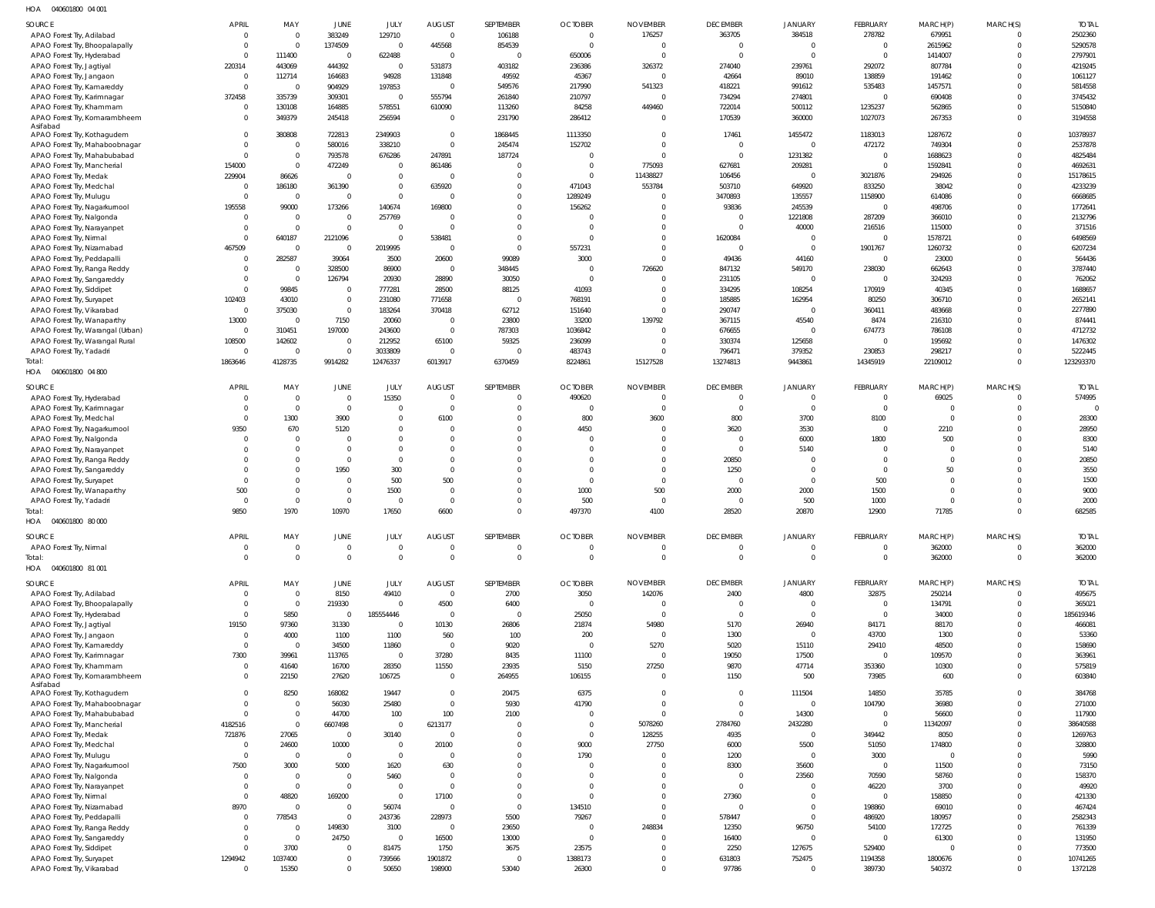040601800 04 001 HOA

| SOURCE                                                           | <b>APRIL</b>             | MAY                      | JUNE                          | JULY                             | <b>AUGUST</b>                 | SEPTEMBER            | <b>OCTOBER</b>     | <b>NOVEMBER</b>            | <b>DECEMBER</b>     | <b>JANUARY</b>                   | FEBRUARY                  | MARCH(P)               | MARCH(S)                 | <b>TOTAL</b>        |
|------------------------------------------------------------------|--------------------------|--------------------------|-------------------------------|----------------------------------|-------------------------------|----------------------|--------------------|----------------------------|---------------------|----------------------------------|---------------------------|------------------------|--------------------------|---------------------|
| APAO Forest Try, Adilabad                                        | $\mathbf 0$              | $\mathbf 0$              | 383249                        | 129710                           | $\overline{0}$                | 106188               | $\mathbf 0$        | 176257                     | 363705              | 384518                           | 278782                    | 679951                 | $\Omega$                 | 2502360             |
| APAO Forest Try, Bhoopalapally                                   | $\mathbf 0$              | $\overline{0}$           | 1374509                       | $\overline{0}$                   | 445568                        | 854539               | $\Omega$           | $\circ$                    | $\overline{0}$      | $\overline{0}$                   | $\overline{0}$            | 2615962                | $\Omega$                 | 5290578             |
| APAO Forest Try, Hyderabad                                       | $\mathbf 0$<br>220314    | 111400<br>443069         | $\overline{0}$<br>444392      | 622488<br>$\overline{0}$         | $\overline{0}$<br>531873      | $\Omega$<br>403182   | 650006<br>236386   | $\sqrt{ }$<br>326372       | $\Omega$<br>274040  | $\Omega$<br>239761               | $\Omega$<br>292072        | 1414007<br>807784      | $\Omega$<br>$\Omega$     | 2797901<br>4219245  |
| APAO Forest Try, Jagtiyal<br>APAO Forest Try, Jangaon            | $\overline{0}$           | 112714                   | 164683                        | 94928                            | 131848                        | 49592                | 45367              | $\overline{0}$             | 42664               | 89010                            | 138859                    | 191462                 | <sup>0</sup>             | 1061127             |
| APAO Forest Try, Kamareddy                                       | $\Omega$                 | $\overline{0}$           | 904929                        | 197853                           | $\overline{0}$                | 549576               | 217990             | 541323                     | 418221              | 991612                           | 535483                    | 1457571                | $\Omega$                 | 5814558             |
| APAO Forest Try, Karimnagar                                      | 372458                   | 335739                   | 309301                        | $\overline{0}$                   | 555794                        | 261840               | 210797             | $\Omega$                   | 734294              | 274801                           | $\overline{0}$            | 690408                 | <sup>0</sup>             | 3745432             |
| APAO Forest Try, Khammam                                         | $\mathbf 0$              | 130108                   | 164885                        | 578551                           | 610090                        | 113260               | 84258              | 449460                     | 722014              | 500112                           | 1235237                   | 562865                 | $\Omega$                 | 5150840             |
| APAO Forest Try, Komarambheem<br>Asifabad                        | $\Omega$                 | 349379                   | 245418                        | 256594                           | $\overline{0}$                | 231790               | 286412             | $\overline{0}$             | 170539              | 360000                           | 1027073                   | 267353                 | $\Omega$                 | 3194558             |
| APAO Forest Try, Kothagudem                                      | $\Omega$                 | 380808                   | 722813                        | 2349903                          | $\overline{0}$                | 1868445              | 1113350            | $\overline{0}$             | 17461               | 1455472                          | 1183013                   | 1287672                | $\Omega$                 | 10378937            |
| APAO Forest Try, Mahaboobnagar                                   | $\mathbf 0$              | $\overline{0}$           | 580016                        | 338210                           | $\overline{0}$                | 245474               | 152702             | $\circ$                    | $\overline{0}$      | $\overline{0}$                   | 472172                    | 749304                 | $\Omega$                 | 2537878             |
| APAO Forest Try, Mahabubabad                                     | $\Omega$                 | $\overline{0}$           | 793578                        | 676286                           | 247891                        | 187724               | $\Omega$           | $\overline{0}$             | $\overline{0}$      | 1231382                          | $\overline{0}$            | 1688623                | $\Omega$                 | 4825484             |
| APAO Forest Try, Mancherial                                      | 154000                   | $\overline{0}$           | 472249                        | $\overline{0}$<br>$\overline{0}$ | 861486                        |                      | $\Omega$           | 775093                     | 627681              | 209281                           | $\Omega$                  | 1592841                | <sup>0</sup><br>$\Omega$ | 4692631             |
| APAO Forest Try, Medak<br>APAO Forest Try, Medchal               | 229904<br>$\overline{0}$ | 86626<br>186180          | $\overline{0}$<br>361390      | $\overline{0}$                   | $\overline{0}$<br>635920      | $\Omega$<br>$\Omega$ | $\Omega$<br>471043 | 11438827<br>553784         | 106456<br>503710    | $\overline{0}$<br>649920         | 3021876<br>833250         | 294926<br>38042        | <sup>0</sup>             | 15178615<br>4233239 |
| APAO Forest Try, Mulugu                                          | $\Omega$                 | $\overline{0}$           | $\overline{0}$                | $\Omega$                         | $\overline{0}$                | $\Omega$             | 1289249            | $\circ$                    | 3470893             | 135557                           | 1158900                   | 614086                 | $\Omega$                 | 6668685             |
| APAO Forest Try, Nagarkurnool                                    | 195558                   | 99000                    | 173266                        | 140674                           | 169800                        | $\Omega$             | 156262             | $\circ$                    | 93836               | 245539                           | $\overline{0}$            | 498706                 | <sup>0</sup>             | 1772641             |
| APAO Forest Try, Nalgonda                                        | $\Omega$                 | $\overline{0}$           | $\overline{0}$                | 257769                           | $\overline{0}$                |                      | $\mathsf{C}$       | $\Omega$                   | $\overline{0}$      | 1221808                          | 287209                    | 366010                 | $\Omega$                 | 2132796             |
| APAO Forest Try, Narayanpet                                      | $\mathbf 0$              | $\overline{0}$           | $\mathbb O$                   | $\overline{0}$                   | $\overline{0}$                | $\Omega$             | -C                 | $\overline{0}$             | $\Omega$            | 40000                            | 216516                    | 115000                 | <sup>0</sup>             | 371516              |
| APAO Forest Try, Nirmal                                          | $\Omega$                 | 640187<br>$\overline{0}$ | 2121096                       | $\overline{0}$                   | 538481<br>$\overline{0}$      | $\Omega$<br>$\Omega$ | - 0                | $\mathbf 0$                | 1620084<br>$\Omega$ | $\overline{0}$<br>$\overline{0}$ | $\overline{0}$            | 1578721                | $\Omega$<br><sup>0</sup> | 6498569             |
| APAO Forest Try, Nizamabad<br>APAO Forest Try, Peddapalli        | 467509<br>$\Omega$       | 282587                   | $\mathbf 0$<br>39064          | 2019995<br>3500                  | 20600                         | 99089                | 557231<br>3000     | $\overline{0}$<br>$\Omega$ | 49436               | 44160                            | 1901767<br>$\overline{0}$ | 1260732<br>23000       | $\Omega$                 | 6207234<br>564436   |
| APAO Forest Try, Ranga Reddy                                     | $\mathbf{0}$             | $\overline{0}$           | 328500                        | 86900                            | $\overline{0}$                | 348445               | - 0                | 726620                     | 847132              | 549170                           | 238030                    | 662643                 | <sup>0</sup>             | 3787440             |
| APAO Forest Try, Sangareddy                                      | $\Omega$                 | $\overline{0}$           | 126794                        | 20930                            | 28890                         | 30050                | $\mathsf{C}$       | $\overline{0}$             | 231105              | $\overline{0}$                   | $\overline{0}$            | 324293                 | $\Omega$                 | 762062              |
| APAO Forest Try, Siddipet                                        | $\Omega$                 | 99845                    | $\mathbf 0$                   | 777281                           | 28500                         | 88125                | 41093              | $\Omega$                   | 334295              | 108254                           | 170919                    | 40345                  | $\Omega$                 | 1688657             |
| APAO Forest Try, Suryapet                                        | 102403                   | 43010                    | $\mathbb O$                   | 231080                           | 771658                        | $\Omega$             | 768191             | $\Omega$                   | 185885              | 162954                           | 80250                     | 306710                 | $\Omega$                 | 2652141             |
| APAO Forest Try, Vikarabad                                       | $\overline{0}$           | 375030                   | $\mathbf 0$                   | 183264                           | 370418                        | 62712                | 151640             | $\overline{0}$             | 290747              | $\overline{0}$                   | 360411                    | 483668                 | <sup>0</sup><br>$\Omega$ | 2277890             |
| APAO Forest Try, Wanaparthy<br>APAO Forest Try, Warangal (Urban) | 13000<br>$\overline{0}$  | $\overline{0}$<br>310451 | 7150<br>197000                | 20060<br>243600                  | $\overline{0}$<br>$\mathbf 0$ | 23800<br>787303      | 33200<br>1036842   | 139792<br>$\circ$          | 367115<br>676655    | 45540<br>$\overline{0}$          | 8474<br>674773            | 216310<br>786108       | <sup>0</sup>             | 874441<br>4712732   |
| APAO Forest Try, Warangal Rural                                  | 108500                   | 142602                   | $\mathbf 0$                   | 212952                           | 65100                         | 59325                | 236099             | $\circ$                    | 330374              | 125658                           | $\overline{0}$            | 195692                 | $\Omega$                 | 1476302             |
| APAO Forest Try, Yadadri                                         | $\overline{0}$           | $\overline{0}$           | $\mathbb O$                   | 3033809                          | $\overline{0}$                | $\Omega$             | 483743             | $\overline{0}$             | 796471              | 379352                           | 230853                    | 298217                 | $\Omega$                 | 5222445             |
| Total:                                                           | 1863646                  | 4128735                  | 9914282                       | 12476337                         | 6013917                       | 6370459              | 8224861            | 15127528                   | 13274813            | 9443861                          | 14345919                  | 22109012               | $\Omega$                 | 123293370           |
| HOA  040601800  04 800                                           |                          |                          |                               |                                  |                               |                      |                    |                            |                     |                                  |                           |                        |                          |                     |
| SOURCE                                                           | <b>APRIL</b>             | MAY                      | <b>JUNE</b>                   | JULY                             | <b>AUGUST</b>                 | SEPTEMBER            | <b>OCTOBER</b>     | <b>NOVEMBER</b>            | <b>DECEMBER</b>     | <b>JANUARY</b>                   | FEBRUARY                  | MARCH(P)               | MARCH(S)                 | <b>TOTAL</b>        |
| APAO Forest Try, Hyderabad                                       | $\Omega$                 | $\overline{0}$           | $\mathbf 0$                   | 15350                            | $\overline{0}$                | $\Omega$             | 490620             | $\overline{0}$             | $\overline{0}$      | $\Omega$                         | $\Omega$                  | 69025                  | $\Omega$                 | 574995              |
| APAO Forest Try, Karimnagar                                      | $\Omega$                 | $\overline{0}$           | $\mathbf 0$                   | $\Omega$                         | $\overline{0}$                | $\Omega$             | $\Omega$           | $\overline{0}$             | $\Omega$            | $\overline{0}$                   | $\Omega$                  | $\overline{0}$         | $\Omega$                 | $\Omega$            |
| APAO Forest Try, Medchal<br>APAO Forest Try, Nagarkurnool        | $\Omega$<br>9350         | 1300<br>670              | 3900<br>5120                  | $\overline{0}$<br>$\Omega$       | 6100<br>$\Omega$              | $\Omega$<br>$\Omega$ | 800<br>4450        | 3600<br>$\Omega$           | 800<br>3620         | 3700<br>3530                     | 8100<br>$\Omega$          | $\overline{0}$<br>2210 | $\Omega$<br>$\Omega$     | 28300<br>28950      |
| APAO Forest Try, Nalgonda                                        |                          | $\overline{0}$           | $\Omega$                      | $\Omega$                         | $\Omega$                      |                      |                    | $\Omega$                   | $\Omega$            | 6000                             | 1800                      | 500                    | $\Omega$                 | 8300                |
| APAO Forest Try, Narayanpet                                      |                          | $\Omega$                 | $\mathbf 0$                   | $\Omega$                         | $\Omega$                      |                      |                    | $\Omega$                   | $\Omega$            | 5140                             | $\Omega$                  | $\Omega$               | $\Omega$                 | 5140                |
| APAO Forest Try, Ranga Reddy                                     |                          | $\Omega$                 | $\mathbf{0}$                  | $\Omega$                         | $\mathbf 0$                   |                      |                    | $\mathbf 0$                | 20850               | $\overline{0}$                   | $\Omega$                  | $\overline{0}$         | $\Omega$                 | 20850               |
| APAO Forest Try, Sangareddy                                      |                          | $\Omega$                 | 1950                          | 300                              | $\overline{0}$                |                      | $\Omega$           | $\mathbf 0$                | 1250                | $\Omega$                         | $\Omega$                  | 50                     | $\Omega$                 | 3550                |
| APAO Forest Try, Suryapet                                        |                          | $\Omega$<br>$\Omega$     | $\mathbf 0$                   | 500                              | 500                           |                      | $\Omega$           | $\mathbf 0$                | $\Omega$            | $\overline{0}$                   | 500                       | $\Omega$               | $\Omega$                 | 1500                |
| APAO Forest Try, Wanaparthy<br>APAO Forest Try, Yadadri          | 500<br>$\Omega$          | $\Omega$                 | $\mathbf 0$<br>$\mathbf 0$    | 1500<br>$\Omega$                 | $\overline{0}$<br>$\mathbf 0$ |                      | 1000<br>500        | 500<br>$\Omega$            | 2000<br>$\Omega$    | 2000<br>500                      | 1500<br>1000              | $\Omega$<br>$\Omega$   | <sup>0</sup><br>$\Omega$ | 9000<br>2000        |
| Total:                                                           | 9850                     | 1970                     | 10970                         | 17650                            | 6600                          | $\Omega$             | 497370             | 4100                       | 28520               | 20870                            | 12900                     | 71785                  | $\Omega$                 | 682585              |
| HOA  040601800  80 000                                           |                          |                          |                               |                                  |                               |                      |                    |                            |                     |                                  |                           |                        |                          |                     |
| SOURCE                                                           | APRIL                    | MAY                      | JUNE                          | JULY                             | <b>AUGUST</b>                 | SEPTEMBER            | <b>OCTOBER</b>     | <b>NOVEMBER</b>            | <b>DECEMBER</b>     | <b>JANUARY</b>                   | FEBRUARY                  | MARCH(P)               | MARCH(S)                 | <b>TOTAL</b>        |
| APAO Forest Try, Nirmal                                          | $\mathbf 0$              | $\overline{0}$           | $\mathbf 0$                   | $\overline{0}$                   | $\mathbf 0$                   | - 0                  | $\mathbf{0}$       | $\circ$                    | $\overline{0}$      | $\overline{0}$                   | $\overline{0}$            | 362000                 | $\overline{0}$           | 362000              |
| Total:                                                           | $\Omega$                 | $\mathbf 0$              | $\mathbf 0$                   | $\Omega$                         | $\overline{0}$                | $\Omega$             | $\Omega$           | $\Omega$                   | $\overline{0}$      | $\overline{0}$                   | $\Omega$                  | 362000                 | $\overline{0}$           | 362000              |
| HOA  040601800  81 001                                           |                          |                          |                               |                                  |                               |                      |                    |                            |                     |                                  |                           |                        |                          |                     |
| SOURCE                                                           | <b>APRIL</b>             | MAY                      | <b>JUNE</b>                   | JULY                             | <b>AUGUST</b>                 | SEPTEMBER            | <b>OCTOBER</b>     | <b>NOVEMBER</b>            | <b>DECEMBER</b>     | <b>JANUARY</b>                   | FEBRUARY                  | MARCH(P)               | MARCH(S)                 | <b>TOTAL</b>        |
| APAO Forest Try, Adilabad                                        | $\mathbf 0$              | $\overline{0}$           | 8150                          | 49410                            | $\overline{0}$                | 2700                 | 3050               | 142076                     | 2400                | 4800                             | 32875                     | 250214                 | $\Omega$                 | 495675              |
| APAO Forest Try, Bhoopalapally                                   | $\mathbf 0$              | $\overline{0}$           | 219330                        | $\Omega$                         | 4500                          | 6400                 | $\mathbf 0$        | $\Omega$                   | $\overline{0}$      | $\overline{0}$                   | $\Omega$                  | 134791                 | $\Omega$<br>$\Omega$     | 365021              |
| APAO Forest Try, Hyderabad<br>APAO Forest Try, Jagtiyal          | 19150                    | 5850<br>97360            | $\Omega$<br>31330             | 185554446<br>$\Omega$            | $\overline{0}$<br>10130       | 26806                | 25050<br>21874     | $\circ$<br>54980           | $\Omega$<br>5170    | $\Omega$<br>26940                | $\Omega$<br>84171         | 34000<br>88170         | $\Omega$                 | 185619346<br>466081 |
| APAO Forest Try, Jangaon                                         | $\mathbf 0$              | 4000                     | 1100                          | 1100                             | 560                           | 100                  | 200                | $\overline{0}$             | 1300                | $\Omega$                         | 43700                     | 1300                   | <sup>0</sup>             | 53360               |
| APAO Forest Try, Kamareddy                                       | $\mathbf 0$              | $\overline{0}$           | 34500                         | 11860                            | $\overline{0}$                | 9020                 | $\overline{0}$     | 5270                       | 5020                | 15110                            | 29410                     | 48500                  |                          | 158690              |
| APAO Forest Try, Karimnagar                                      | 7300                     | 39961                    | 113765                        | $\Omega$                         | 37280                         | 8435                 | 11100              | $\circ$                    | 19050               | 17500                            | $\Omega$                  | 109570                 | <sup>0</sup>             | 363961              |
| APAO Forest Try, Khammam                                         | $\mathbf 0$              | 41640                    | 16700                         | 28350                            | 11550                         | 23935                | 5150               | 27250                      | 9870                | 47714                            | 353360                    | 10300                  | $\Omega$                 | 575819              |
| APAO Forest Try, Komarambheem<br>Asifabad                        | $\Omega$                 | 22150                    | 27620                         | 106725                           | $\overline{0}$                | 264955               | 106155             | $\mathbf 0$                | 1150                | 500                              | 73985                     | 600                    | $\Omega$                 | 603840              |
| APAO Forest Try, Kothagudem                                      |                          | 8250                     | 168082                        | 19447                            | $\overline{0}$                | 20475                | 6375               | $\circ$                    | $\overline{0}$      | 111504                           | 14850                     | 35785                  |                          | 384768              |
| APAO Forest Try, Mahaboobnagar                                   | $\Omega$                 | $\overline{0}$           | 56030                         | 25480                            | $\overline{0}$                | 5930                 | 41790              | $\Omega$                   | $\Omega$            | $\Omega$                         | 104790                    | 36980                  | $\Omega$                 | 271000              |
| APAO Forest Try, Mahabubabad                                     | $\Omega$                 | $\overline{0}$           | 44700                         | 100                              | 100                           | 2100                 | $\Omega$           | $\Omega$                   | $\overline{0}$      | 14300                            | $\Omega$                  | 56600                  |                          | 117900              |
| APAO Forest Try, Mancherial                                      | 4182516                  | $\Omega$                 | 6607498<br>$\overline{0}$     | $\Omega$                         | 6213177<br>$\overline{0}$     | $\Omega$             | $\Omega$           | 5078260                    | 2784760             | 2432280<br>$\overline{0}$        | $\Omega$                  | 11342097               |                          | 38640588<br>1269763 |
| APAO Forest Try, Medak<br>APAO Forest Try, Medchal               | 721876<br>$\mathbf 0$    | 27065<br>24600           | 10000                         | 30140<br>$\Omega$                | 20100                         | $\Omega$             | 9000               | 128255<br>27750            | 4935<br>6000        | 5500                             | 349442<br>51050           | 8050<br>174800         |                          | 328800              |
| APAO Forest Try, Mulugu                                          | $\Omega$                 | $\overline{0}$           | $\mathbf 0$                   | $\overline{0}$                   | $\overline{0}$                |                      | 1790               | $\circ$                    | 1200                | $\overline{0}$                   | 3000                      | $\overline{0}$         |                          | 5990                |
| APAO Forest Try, Nagarkurnool                                    | 7500                     | 3000                     | 5000                          | 1620                             | 630                           |                      | $\Omega$           | $\overline{0}$             | 8300                | 35600                            | $\Omega$                  | 11500                  |                          | 73150               |
| APAO Forest Try, Nalgonda                                        | $\Omega$                 | $\Omega$                 | $\mathbf 0$                   | 5460                             | $\overline{0}$                |                      |                    | $\Omega$                   | $\Omega$            | 23560                            | 70590                     | 58760                  |                          | 158370              |
| APAO Forest Try, Narayanpet                                      | $\Omega$                 | $\overline{0}$           | $\mathbf 0$                   | $\Omega$                         | $\overline{0}$                |                      | $\Omega$           | $\Omega$                   | $\Omega$            | $\Omega$                         | 46220                     | 3700                   |                          | 49920               |
| APAO Forest Try, Nirmal                                          | $\Omega$                 | 48820                    | 169200                        | $\Omega$                         | 17100                         |                      | $\Omega$           | $\Omega$                   | 27360               | $\overline{0}$                   | $\Omega$                  | 158850                 |                          | 421330              |
| APAO Forest Try, Nizamabad<br>APAO Forest Try, Peddapalli        | 8970<br>$\mathbf{0}$     | $\Omega$<br>778543       | $\overline{0}$<br>$\mathbf 0$ | 56074<br>243736                  | $\overline{0}$<br>228973      | $\Omega$<br>5500     | 134510<br>79267    | $\Omega$<br>$\Omega$       | $\Omega$<br>578447  | $\Omega$<br>$\overline{0}$       | 198860<br>486920          | 69010<br>180957        |                          | 467424<br>2582343   |
| APAO Forest Try, Ranga Reddy                                     | $\Omega$                 | $\overline{0}$           | 149830                        | 3100                             | $\overline{0}$                | 23650                | - 0                | 248834                     | 12350               | 96750                            | 54100                     | 172725                 |                          | 761339              |
| APAO Forest Try, Sangareddy                                      | $\Omega$                 | $\overline{0}$           | 24750                         | $\Omega$                         | 16500                         | 13000                | $\Omega$           | $\overline{0}$             | 16400               | $\overline{0}$                   | $\Omega$                  | 61300                  |                          | 131950              |
| APAO Forest Try, Siddipet                                        | $\Omega$                 | 3700                     | $\mathbf 0$                   | 81475                            | 1750                          | 3675                 | 23575              | $\Omega$                   | 2250                | 127675                           | 529400                    | $\Omega$               |                          | 773500              |
| APAO Forest Try, Suryapet                                        | 1294942                  | 1037400                  | $\mathbf 0$                   | 739566                           | 1901872                       |                      | 1388173            | $\mathbf{0}$               | 631803              | 752475                           | 1194358                   | 1800676                |                          | 10741265            |
| APAO Forest Try, Vikarabad                                       | $\mathbf 0$              | 15350                    | $\mathbf 0$                   | 50650                            | 198900                        | 53040                | 26300              | $\mathbf{0}$               | 97786               | $\overline{0}$                   | 389730                    | 540372                 | $\Omega$                 | 1372128             |